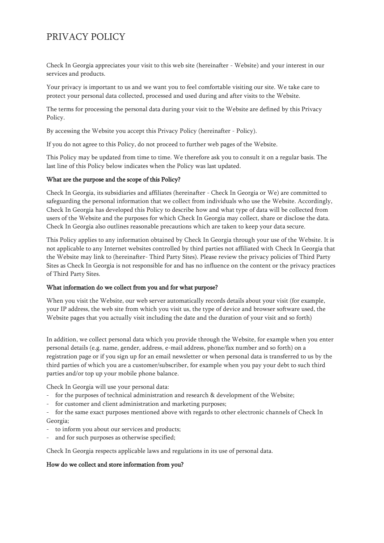# PRIVACY POLICY

Check In Georgia appreciates your visit to this web site (hereinafter - Website) and your interest in our services and products.

Your privacy is important to us and we want you to feel comfortable visiting our site. We take care to protect your personal data collected, processed and used during and after visits to the Website.

The terms for processing the personal data during your visit to the Website are defined by this Privacy Policy.

By accessing the Website you accept this Privacy Policy (hereinafter - Policy).

If you do not agree to this Policy, do not proceed to further web pages of the Website.

This Policy may be updated from time to time. We therefore ask you to consult it on a regular basis. The last line of this Policy below indicates when the Policy was last updated.

## What are the purpose and the scope of this Policy?

Check In Georgia, its subsidiaries and affiliates (hereinafter - Check In Georgia or We) are committed to safeguarding the personal information that we collect from individuals who use the Website. Accordingly, Check In Georgia has developed this Policy to describe how and what type of data will be collected from users of the Website and the purposes for which Check In Georgia may collect, share or disclose the data. Check In Georgia also outlines reasonable precautions which are taken to keep your data secure.

This Policy applies to any information obtained by Check In Georgia through your use of the Website. It is not applicable to any Internet websites controlled by third parties not affiliated with Check In Georgia that the Website may link to (hereinafter- Third Party Sites). Please review the privacy policies of Third Party Sites as Check In Georgia is not responsible for and has no influence on the content or the privacy practices of Third Party Sites.

#### What information do we collect from you and for what purpose?

When you visit the Website, our web server automatically records details about your visit (for example, your IP address, the web site from which you visit us, the type of device and browser software used, the Website pages that you actually visit including the date and the duration of your visit and so forth)

In addition, we collect personal data which you provide through the Website, for example when you enter personal details (e.g. name, gender, address, e-mail address, phone/fax number and so forth) on a registration page or if you sign up for an email newsletter or when personal data is transferred to us by the third parties of which you are a customer/subscriber, for example when you pay your debt to such third parties and/or top up your mobile phone balance.

Check In Georgia will use your personal data:

- for the purposes of technical administration and research & development of the Website;
- for customer and client administration and marketing purposes;
- for the same exact purposes mentioned above with regards to other electronic channels of Check In Georgia;
- to inform you about our services and products;
- and for such purposes as otherwise specified;

Check In Georgia respects applicable laws and regulations in its use of personal data.

#### How do we collect and store information from you?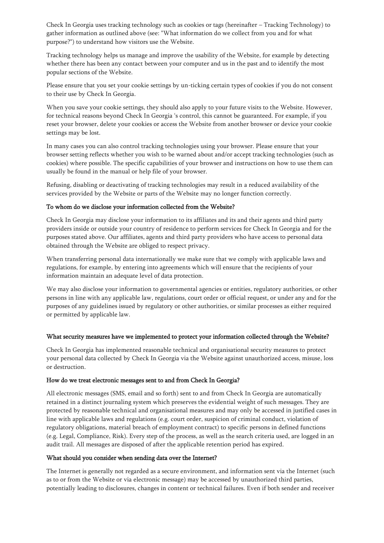Check In Georgia uses tracking technology such as cookies or tags (hereinafter – Tracking Technology) to gather information as outlined above (see: "What information do we collect from you and for what purpose?") to understand how visitors use the Website.

Tracking technology helps us manage and improve the usability of the Website, for example by detecting whether there has been any contact between your computer and us in the past and to identify the most popular sections of the Website.

Please ensure that you set your cookie settings by un-ticking certain types of cookies if you do not consent to their use by Check In Georgia.

When you save your cookie settings, they should also apply to your future visits to the Website. However, for technical reasons beyond Check In Georgia 's control, this cannot be guaranteed. For example, if you reset your browser, delete your cookies or access the Website from another browser or device your cookie settings may be lost.

In many cases you can also control tracking technologies using your browser. Please ensure that your browser setting reflects whether you wish to be warned about and/or accept tracking technologies (such as cookies) where possible. The specific capabilities of your browser and instructions on how to use them can usually be found in the manual or help file of your browser.

Refusing, disabling or deactivating of tracking technologies may result in a reduced availability of the services provided by the Website or parts of the Website may no longer function correctly.

## To whom do we disclose your information collected from the Website?

Check In Georgia may disclose your information to its affiliates and its and their agents and third party providers inside or outside your country of residence to perform services for Check In Georgia and for the purposes stated above. Our affiliates, agents and third party providers who have access to personal data obtained through the Website are obliged to respect privacy.

When transferring personal data internationally we make sure that we comply with applicable laws and regulations, for example, by entering into agreements which will ensure that the recipients of your information maintain an adequate level of data protection.

We may also disclose your information to governmental agencies or entities, regulatory authorities, or other persons in line with any applicable law, regulations, court order or official request, or under any and for the purposes of any guidelines issued by regulatory or other authorities, or similar processes as either required or permitted by applicable law.

#### What security measures have we implemented to protect your information collected through the Website?

Check In Georgia has implemented reasonable technical and organisational security measures to protect your personal data collected by Check In Georgia via the Website against unauthorized access, misuse, loss or destruction.

#### How do we treat electronic messages sent to and from Check In Georgia?

All electronic messages (SMS, email and so forth) sent to and from Check In Georgia are automatically retained in a distinct journaling system which preserves the evidential weight of such messages. They are protected by reasonable technical and organisational measures and may only be accessed in justified cases in line with applicable laws and regulations (e.g. court order, suspicion of criminal conduct, violation of regulatory obligations, material breach of employment contract) to specific persons in defined functions (e.g. Legal, Compliance, Risk). Every step of the process, as well as the search criteria used, are logged in an audit trail. All messages are disposed of after the applicable retention period has expired.

#### What should you consider when sending data over the Internet?

The Internet is generally not regarded as a secure environment, and information sent via the Internet (such as to or from the Website or via electronic message) may be accessed by unauthorized third parties, potentially leading to disclosures, changes in content or technical failures. Even if both sender and receiver